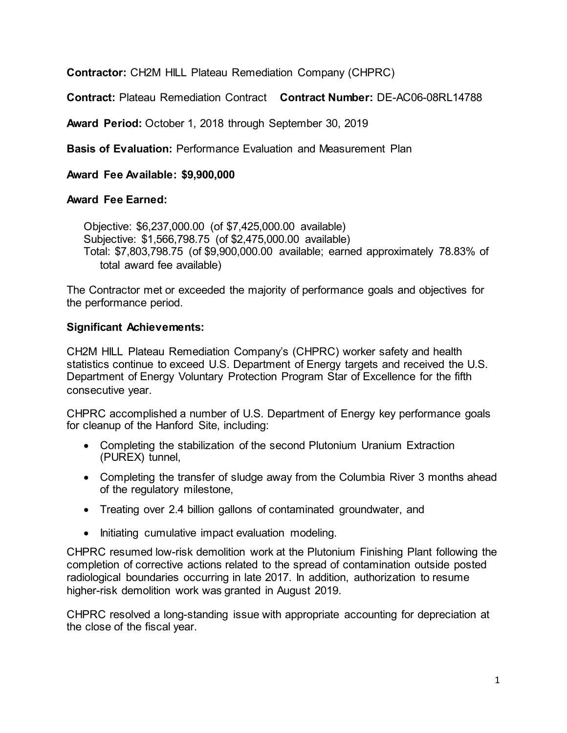**Contractor:** CH2M HILL Plateau Remediation Company (CHPRC)

**Contract:** Plateau Remediation Contract **Contract Number:** DE-AC06-08RL14788

**Award Period:** October 1, 2018 through September 30, 2019

**Basis of Evaluation:** Performance Evaluation and Measurement Plan

**Award Fee Available: \$9,900,000**

## **Award Fee Earned:**

Objective: \$6,237,000.00 (of \$7,425,000.00 available) Subjective: \$1,566,798.75 (of \$2,475,000.00 available) Total: \$7,803,798.75 (of \$9,900,000.00 available; earned approximately 78.83% of total award fee available)

The Contractor met or exceeded the majority of performance goals and objectives for the performance period.

## **Significant Achievements:**

CH2M HILL Plateau Remediation Company's (CHPRC) worker safety and health statistics continue to exceed U.S. Department of Energy targets and received the U.S. Department of Energy Voluntary Protection Program Star of Excellence for the fifth consecutive year.

CHPRC accomplished a number of U.S. Department of Energy key performance goals for cleanup of the Hanford Site, including:

- Completing the stabilization of the second Plutonium Uranium Extraction (PUREX) tunnel,
- Completing the transfer of sludge away from the Columbia River 3 months ahead of the regulatory milestone,
- Treating over 2.4 billion gallons of contaminated groundwater, and
- Initiating cumulative impact evaluation modeling.

CHPRC resumed low-risk demolition work at the Plutonium Finishing Plant following the completion of corrective actions related to the spread of contamination outside posted radiological boundaries occurring in late 2017. In addition, authorization to resume higher-risk demolition work was granted in August 2019.

CHPRC resolved a long-standing issue with appropriate accounting for depreciation at the close of the fiscal year.